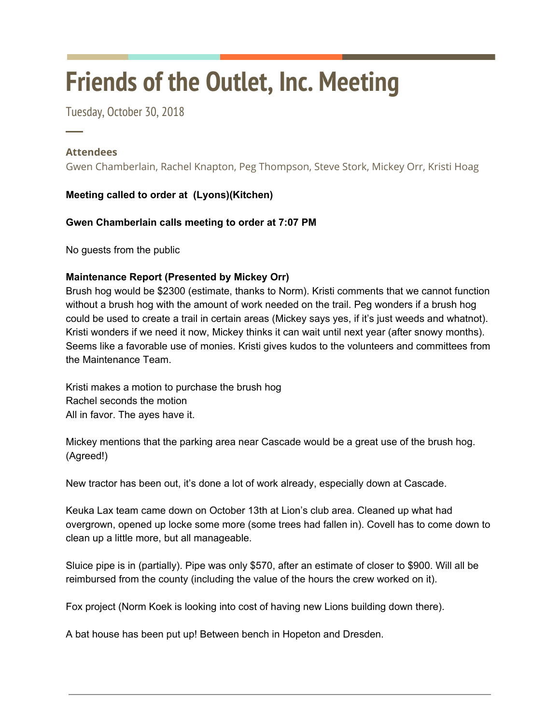# **Friends of the Outlet, Inc. Meeting**

Tuesday, October 30, 2018

### **Attendees**

─

Gwen Chamberlain, Rachel Knapton, Peg Thompson, Steve Stork, Mickey Orr, Kristi Hoag

## **Meeting called to order at (Lyons)(Kitchen)**

**Gwen Chamberlain calls meeting to order at 7:07 PM**

No guests from the public

#### **Maintenance Report (Presented by Mickey Orr)**

Brush hog would be \$2300 (estimate, thanks to Norm). Kristi comments that we cannot function without a brush hog with the amount of work needed on the trail. Peg wonders if a brush hog could be used to create a trail in certain areas (Mickey says yes, if it's just weeds and whatnot). Kristi wonders if we need it now, Mickey thinks it can wait until next year (after snowy months). Seems like a favorable use of monies. Kristi gives kudos to the volunteers and committees from the Maintenance Team.

Kristi makes a motion to purchase the brush hog Rachel seconds the motion All in favor. The ayes have it.

Mickey mentions that the parking area near Cascade would be a great use of the brush hog. (Agreed!)

New tractor has been out, it's done a lot of work already, especially down at Cascade.

Keuka Lax team came down on October 13th at Lion's club area. Cleaned up what had overgrown, opened up locke some more (some trees had fallen in). Covell has to come down to clean up a little more, but all manageable.

Sluice pipe is in (partially). Pipe was only \$570, after an estimate of closer to \$900. Will all be reimbursed from the county (including the value of the hours the crew worked on it).

Fox project (Norm Koek is looking into cost of having new Lions building down there).

A bat house has been put up! Between bench in Hopeton and Dresden.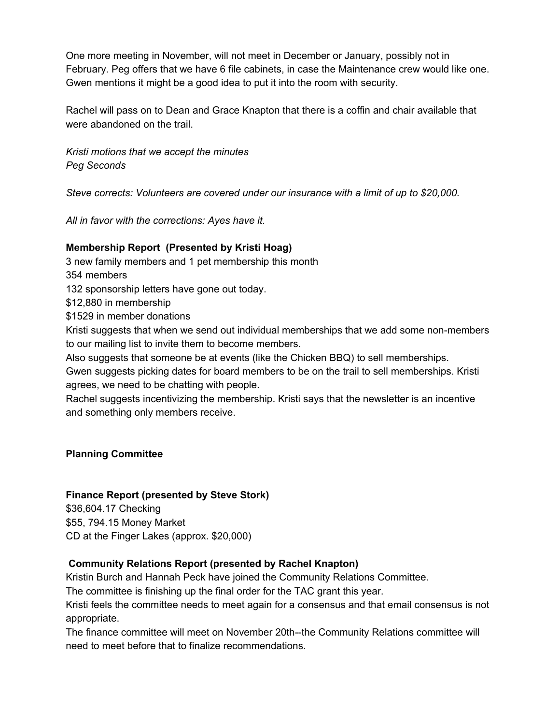One more meeting in November, will not meet in December or January, possibly not in February. Peg offers that we have 6 file cabinets, in case the Maintenance crew would like one. Gwen mentions it might be a good idea to put it into the room with security.

Rachel will pass on to Dean and Grace Knapton that there is a coffin and chair available that were abandoned on the trail.

*Kristi motions that we accept the minutes Peg Seconds*

*Steve corrects: Volunteers are covered under our insurance with a limit of up to \$20,000.*

*All in favor with the corrections: Ayes have it.*

#### **Membership Report (Presented by Kristi Hoag)**

3 new family members and 1 pet membership this month 354 members

132 sponsorship letters have gone out today.

\$12,880 in membership

\$1529 in member donations

Kristi suggests that when we send out individual memberships that we add some non-members to our mailing list to invite them to become members.

Also suggests that someone be at events (like the Chicken BBQ) to sell memberships.

Gwen suggests picking dates for board members to be on the trail to sell memberships. Kristi agrees, we need to be chatting with people.

Rachel suggests incentivizing the membership. Kristi says that the newsletter is an incentive and something only members receive.

**Planning Committee**

#### **Finance Report (presented by Steve Stork)**

\$36,604.17 Checking \$55, 794.15 Money Market CD at the Finger Lakes (approx. \$20,000)

#### **Community Relations Report (presented by Rachel Knapton)**

Kristin Burch and Hannah Peck have joined the Community Relations Committee.

The committee is finishing up the final order for the TAC grant this year.

Kristi feels the committee needs to meet again for a consensus and that email consensus is not appropriate.

The finance committee will meet on November 20th--the Community Relations committee will need to meet before that to finalize recommendations.